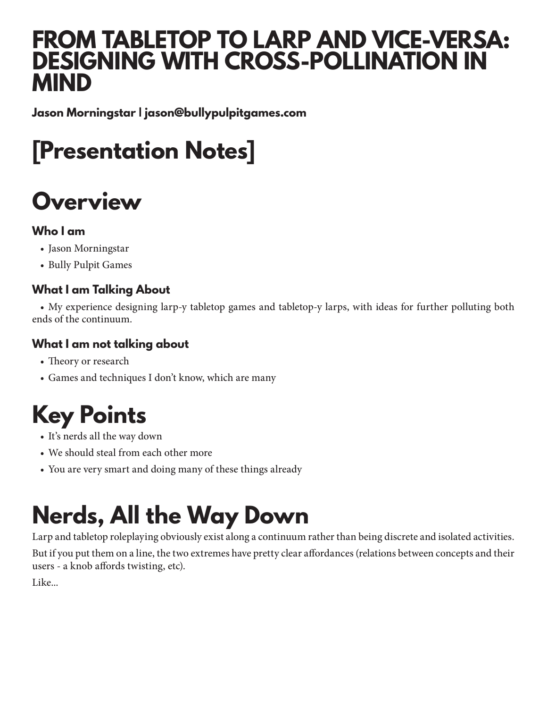#### **FROM TABLETOP TO LARP AND VICE-VERSA: DESIGNING WITH CROSS-POLLINATION IN MIND**

**Jason Morningstar | jason@bullypulpitgames.com**

### **[Presentation Notes]**

#### **Overview**

#### **Who I am**

- Jason Morningstar
- Bully Pulpit Games

#### **What I am Talking About**

• My experience designing larp-y tabletop games and tabletop-y larps, with ideas for further polluting both ends of the continuum.

#### **What I am not talking about**

- Theory or research
- Games and techniques I don't know, which are many

#### **Key Points**

- It's nerds all the way down
- We should steal from each other more
- You are very smart and doing many of these things already

## **Nerds, All the Way Down**

Larp and tabletop roleplaying obviously exist along a continuum rather than being discrete and isolated activities. But if you put them on a line, the two extremes have pretty clear affordances (relations between concepts and their users - a knob affords twisting, etc).

Like...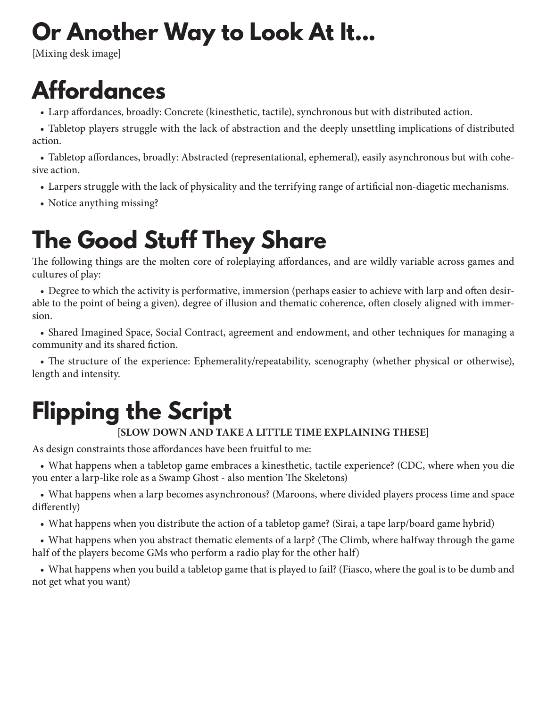#### **Or Another Way to Look At It...**

[Mixing desk image]

#### **Affordances**

• Larp affordances, broadly: Concrete (kinesthetic, tactile), synchronous but with distributed action.

• Tabletop players struggle with the lack of abstraction and the deeply unsettling implications of distributed action.

• Tabletop affordances, broadly: Abstracted (representational, ephemeral), easily asynchronous but with cohesive action.

- Larpers struggle with the lack of physicality and the terrifying range of artificial non-diagetic mechanisms.
- Notice anything missing?

#### **The Good Stuff They Share**

The following things are the molten core of roleplaying affordances, and are wildly variable across games and cultures of play:

• Degree to which the activity is performative, immersion (perhaps easier to achieve with larp and often desirable to the point of being a given), degree of illusion and thematic coherence, often closely aligned with immersion.

• Shared Imagined Space, Social Contract, agreement and endowment, and other techniques for managing a community and its shared fiction.

• The structure of the experience: Ephemerality/repeatability, scenography (whether physical or otherwise), length and intensity.

## **Flipping the Script**

#### **[SLOW DOWN AND TAKE A LITTLE TIME EXPLAINING THESE]**

As design constraints those affordances have been fruitful to me:

• What happens when a tabletop game embraces a kinesthetic, tactile experience? (CDC, where when you die you enter a larp-like role as a Swamp Ghost - also mention The Skeletons)

• What happens when a larp becomes asynchronous? (Maroons, where divided players process time and space differently)

• What happens when you distribute the action of a tabletop game? (Sirai, a tape larp/board game hybrid)

• What happens when you abstract thematic elements of a larp? (The Climb, where halfway through the game half of the players become GMs who perform a radio play for the other half)

• What happens when you build a tabletop game that is played to fail? (Fiasco, where the goal is to be dumb and not get what you want)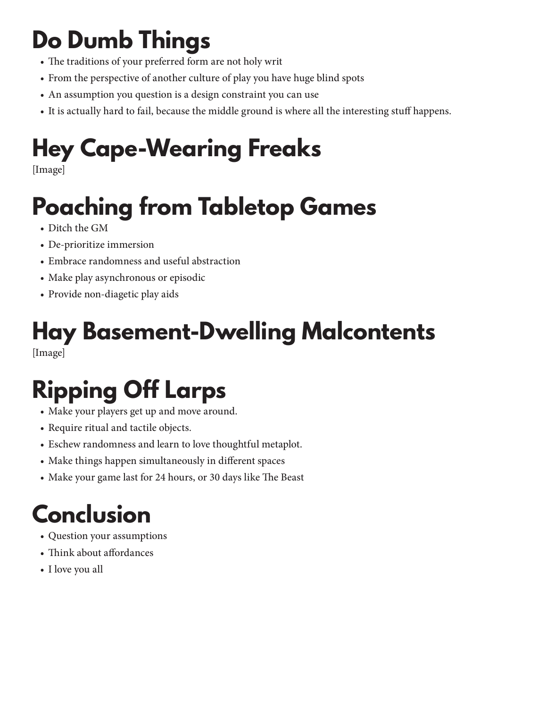### **Do Dumb Things**

- The traditions of your preferred form are not holy writ
- From the perspective of another culture of play you have huge blind spots
- An assumption you question is a design constraint you can use
- It is actually hard to fail, because the middle ground is where all the interesting stuff happens.

## **Hey Cape-Wearing Freaks**

[Image]

## **Poaching from Tabletop Games**

- Ditch the GM
- De-prioritize immersion
- Embrace randomness and useful abstraction
- Make play asynchronous or episodic
- Provide non-diagetic play aids

# **Hay Basement-Dwelling Malcontents**

[Image]

## **Ripping Off Larps**

- Make your players get up and move around.
- Require ritual and tactile objects.
- Eschew randomness and learn to love thoughtful metaplot.
- Make things happen simultaneously in different spaces
- Make your game last for 24 hours, or 30 days like The Beast

## **Conclusion**

- Question your assumptions
- Think about affordances
- I love you all